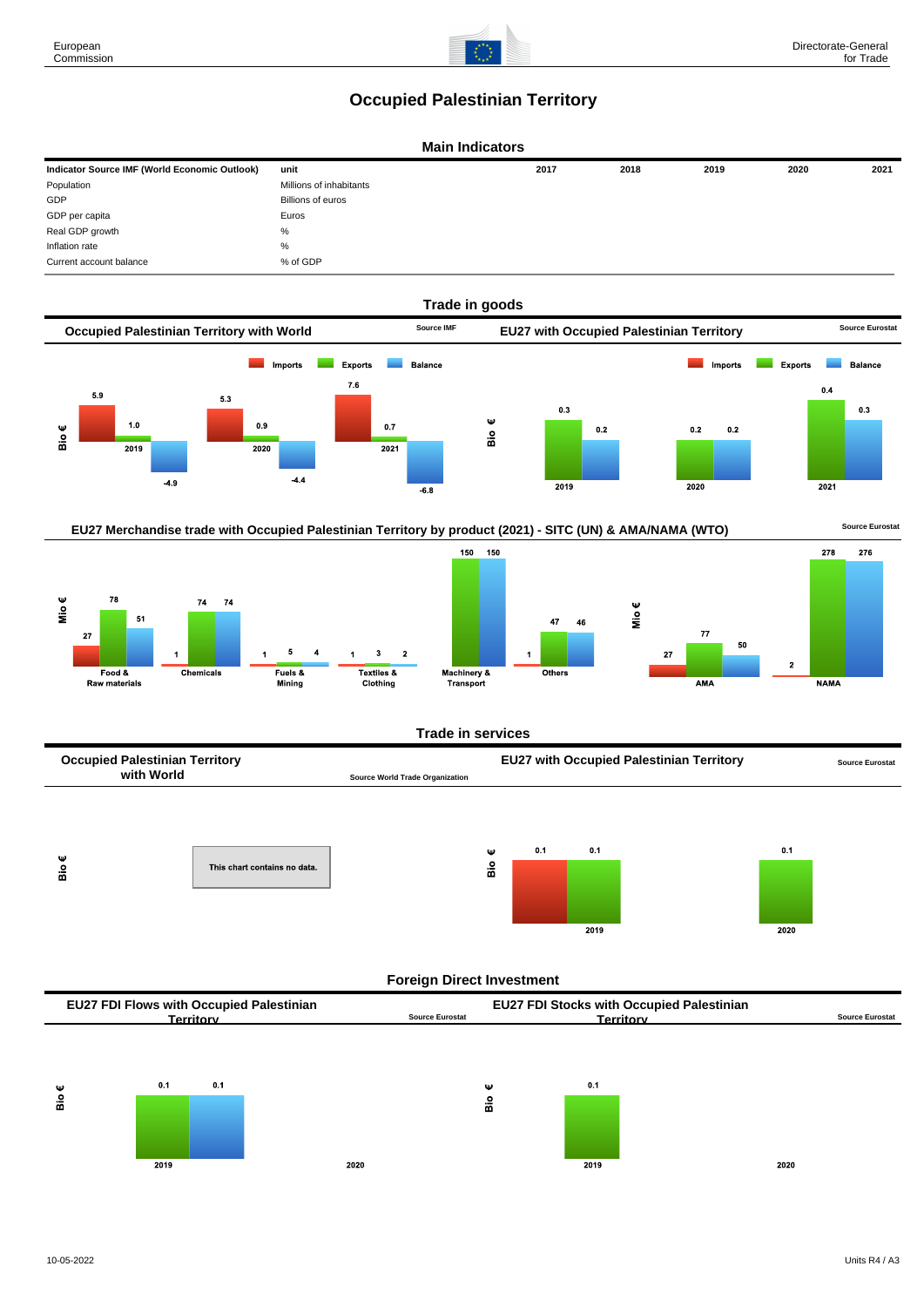## **Occupied Palestinian Territory**







**Trade in services**



## **Foreign Direct Investment**

| <b>EU27 FDI Flows with Occupied Palestinian</b> |                        | <b>EU27 FDI Stocks with Occupied Palestinian</b> |                 |
|-------------------------------------------------|------------------------|--------------------------------------------------|-----------------|
| erritorv:                                       | <b>Source Eurostat</b> | rerritorv                                        | Source Eurostat |
|                                                 |                        |                                                  |                 |

യ

 $\frac{\text{o}}{\text{m}}$ 



2020



2020

European Commission